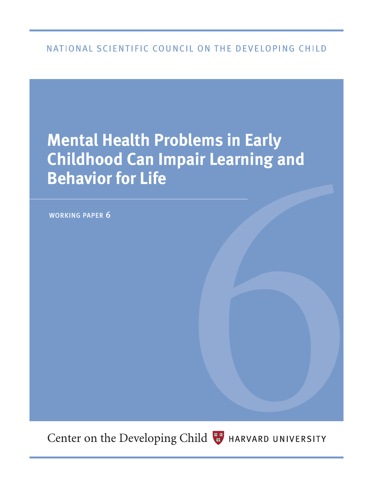# NATIONAL SCIENTIFIC COUNCIL ON THE DEVELOPING CHILD

# **Mental Health Problems in Early Childhood Can Impair Learning and Behavior for Life** air Learning and<br>Aild W HARVARD UNIVERSITY

WORKING PAPER 6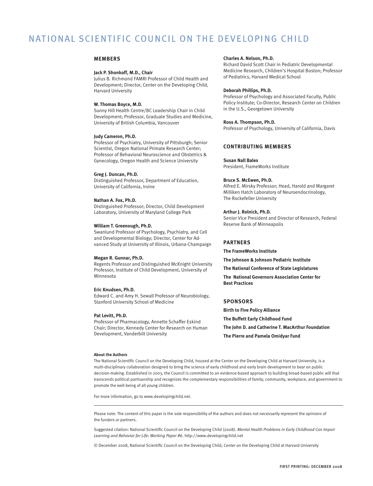# NATIONAL SCIENTIFIC COUNCIL ON THE DEVELOPING CHILD

## **members**

## **Jack P. Shonkoff, M.D., Chair**

Julius B. Richmond FAMRI Professor of Child Health and Development; Director, Center on the Developing Child, Harvard University

#### **W. Thomas Boyce, M.D.**

Sunny Hill Health Centre/BC Leadership Chair in Child Development; Professor, Graduate Studies and Medicine, University of British Columbia, Vancouver

## **Judy Cameron, Ph.D.**

Professor of Psychiatry, University of Pittsburgh; Senior Scientist, Oregon National Primate Research Center; Professor of Behavioral Neuroscience and Obstetrics & Gynecology, Oregon Health and Science University

## **Greg J. Duncan, Ph.D.**

Distinguished Professor, Department of Education, University of California, Irvine

#### **Nathan A. Fox, Ph.D.**

Distinguished Professor; Director, Child Development Laboratory, University of Maryland College Park

### **William T. Greenough, Ph.D.**

Swanlund Professor of Psychology, Psychiatry, and Cell and Developmental Biology; Director, Center for Advanced Study at University of Illinois, Urbana-Champaign

#### **Megan R. Gunnar, Ph.D.**

Regents Professor and Distinguished McKnight University Professor, Institute of Child Development, University of Minnesota

## **Eric Knudsen, Ph.D.**

Edward C. and Amy H. Sewall Professor of Neurobiology, Stanford University School of Medicine

#### **Pat Levitt, Ph.D.**

Professor of Pharmacology, Annette Schaffer Eskind Chair; Director, Kennedy Center for Research on Human Development, Vanderbilt University

#### **About the Authors**

#### **Charles A. Nelson, Ph.D.**

Richard David Scott Chair in Pediatric Developmental Medicine Research, Children's Hospital Boston; Professor of Pediatrics, Harvard Medical School

#### **Deborah Phillips, Ph.D.**

Professor of Psychology and Associated Faculty, Public Policy Institute; Co-Director, Research Center on Children in the U.S., Georgetown University

## **Ross A. Thompson, Ph.D.**

Professor of Psychology, University of California, Davis

# **contributing members**

#### **Susan Nall Bales**

President, FrameWorks Institute

## **Bruce S. McEwen, Ph.D.**

Alfred E. Mirsky Professor; Head, Harold and Margaret Milliken Hatch Laboratory of Neuroendocrinology, The Rockefeller University

#### **Arthur J. Rolnick, Ph.D.**

Senior Vice President and Director of Research, Federal Reserve Bank of Minneapolis

## **partners**

**The FrameWorks Institute**

**The Johnson & Johnson Pediatric Institute**

**The National Conference of State Legislatures**

**The National Governors Association Center for Best Practices**

## **sponsors**

**Birth to Five Policy Alliance The Buffett Early Childhood Fund The John D. and Catherine T. MacArthur Foundation The Pierre and Pamela Omidyar Fund**

The National Scientific Council on the Developing Child, housed at the Center on the Developing Child at Harvard University, is a multi-disciplinary collaboration designed to bring the science of early childhood and early brain development to bear on public decision-making. Established in 2003, the Council is committed to an evidence-based approach to building broad-based public will that transcends political partisanship and recognizes the complementary responsibilities of family, community, workplace, and government to promote the well-being of all young children.

For more information, go to www.developingchild.net.

Please note: The content of this paper is the sole responsibility of the authors and does not necessarily represent the opinions of the funders or partners.

Suggested citation: National Scientific Council on the Developing Child (2008). *Mental Health Problems in Early Childhood Can Impair Learning and Behavior for Life: Working Paper #6*. http://www.developingchild.net

© December 2008, National Scientific Council on the Developing Child, Center on the Developing Child at Harvard University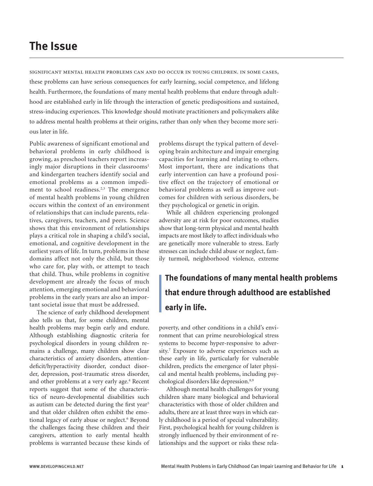# **The Issue**

significant mental health problems can and do occur in young children. in some cases, these problems can have serious consequences for early learning, social competence, and lifelong health. Furthermore, the foundations of many mental health problems that endure through adulthood are established early in life through the interaction of genetic predispositions and sustained, stress-inducing experiences. This knowledge should motivate practitioners and policymakers alike to address mental health problems at their origins, rather than only when they become more serious later in life.

Public awareness of significant emotional and behavioral problems in early childhood is growing, as preschool teachers report increasingly major disruptions in their classrooms<sup>1</sup> and kindergarten teachers identify social and emotional problems as a common impediment to school readiness.<sup>2,3</sup> The emergence of mental health problems in young children occurs within the context of an environment of relationships that can include parents, relatives, caregivers, teachers, and peers. Science shows that this environment of relationships plays a critical role in shaping a child's social, emotional, and cognitive development in the earliest years of life. In turn, problems in these domains affect not only the child, but those who care for, play with, or attempt to teach that child. Thus, while problems in cognitive development are already the focus of much attention, emerging emotional and behavioral problems in the early years are also an important societal issue that must be addressed.

The science of early childhood development also tells us that, for some children, mental health problems may begin early and endure. Although establishing diagnostic criteria for psychological disorders in young children remains a challenge, many children show clear characteristics of anxiety disorders, attentiondeficit/hyperactivity disorder, conduct disorder, depression, post-traumatic stress disorder, and other problems at a very early age.<sup>4</sup> Recent reports suggest that some of the characteristics of neuro-developmental disabilities such as autism can be detected during the first year<sup>5</sup> and that older children often exhibit the emotional legacy of early abuse or neglect.<sup>6</sup> Beyond the challenges facing these children and their caregivers, attention to early mental health problems is warranted because these kinds of

problems disrupt the typical pattern of developing brain architecture and impair emerging capacities for learning and relating to others. Most important, there are indications that early intervention can have a profound positive effect on the trajectory of emotional or behavioral problems as well as improve outcomes for children with serious disorders, be they psychological or genetic in origin.

While all children experiencing prolonged adversity are at risk for poor outcomes, studies show that long-term physical and mental health impacts are most likely to affect individuals who are genetically more vulnerable to stress. Early stresses can include child abuse or neglect, family turmoil, neighborhood violence, extreme

# **The foundations of many mental health problems that endure through adulthood are established early in life.**

poverty, and other conditions in a child's environment that can prime neurobiological stress systems to become hyper-responsive to adversity.<sup>7</sup> Exposure to adverse experiences such as these early in life, particularly for vulnerable children, predicts the emergence of later physical and mental health problems, including psychological disorders like depression.<sup>8,9</sup>

Although mental health challenges for young children share many biological and behavioral characteristics with those of older children and adults, there are at least three ways in which early childhood is a period of special vulnerability. First, psychological health for young children is strongly influenced by their environment of relationships and the support or risks these rela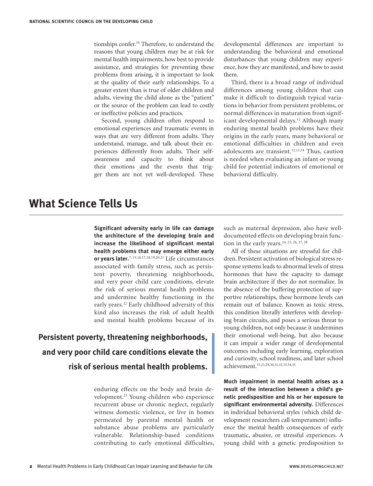tionships confer.<sup>10</sup> Therefore, to understand the reasons that young children may be at risk for mental health impairments, how best to provide assistance, and strategies for preventing these problems from arising, it is important to look at the quality of their early relationships. To a greater extent than is true of older children and adults, viewing the child alone as the "patient" or the source of the problem can lead to costly or ineffective policies and practices.

Second, young children often respond to emotional experiences and traumatic events in ways that are very different from adults. They understand, manage, and talk about their experiences differently from adults. Their selfawareness and capacity to think about their emotions and the events that trigger them are not yet well-developed. These developmental differences are important to understanding the behavioral and emotional disturbances that young children may experience, how they are manifested, and how to assist them.

Third, there is a broad range of individual differences among young children that can make it difficult to distinguish typical variations in behavior from persistent problems, or normal differences in maturation from significant developmental delays.<sup>11</sup> Although many enduring mental health problems have their origins in the early years, many behavioral or emotional difficulties in children and even adolescents are transient.<sup>12,13,14</sup> Thus, caution is needed when evaluating an infant or young child for potential indicators of emotional or behavioral difficulty.

# **What Science Tells Us**

**Significant adversity early in life can damage the architecture of the developing brain and increase the likelihood of significant mental health problems that may emerge either early or years later.**7, 15,16,17,18,19,20,21 Life circumstances associated with family stress, such as persistent poverty, threatening neighborhoods, and very poor child care conditions, elevate the risk of serious mental health problems and undermine healthy functioning in the early years.<sup>22</sup> Early childhood adversity of this kind also increases the risk of adult health and mental health problems because of its

# **Persistent poverty, threatening neighborhoods, and very poor child care conditions elevate the risk of serious mental health problems.**

enduring effects on the body and brain development.23 Young children who experience recurrent abuse or chronic neglect, regularly witness domestic violence, or live in homes permeated by parental mental health or substance abuse problems are particularly vulnerable. Relationship-based conditions contributing to early emotional difficulties, such as maternal depression, also have welldocumented effects on developing brain function in the early years.<sup>24, 25, 26, 27, 28</sup>

All of these situations are stressful for children. Persistent activation of biological stress response systems leads to abnormal levels of stress hormones that have the capacity to damage brain architecture if they do not normalize. In the absence of the buffering protection of supportive relationships, these hormone levels can remain out of balance. Known as toxic stress, this condition literally interferes with developing brain circuits, and poses a serious threat to young children, not only because it undermines their emotional well-being, but also because it can impair a wider range of developmental outcomes including early learning, exploration and curiosity, school readiness, and later school achievement.15,21,29,30,31,32,33,34,35

**Much impairment in mental health arises as a result of the interaction between a child's genetic predisposition and his or her exposure to significant environmental adversity.** Differences in individual behavioral styles (which child development researchers call temperament) influence the mental health consequences of early traumatic, abusive, or stressful experiences. A young child with a genetic predisposition to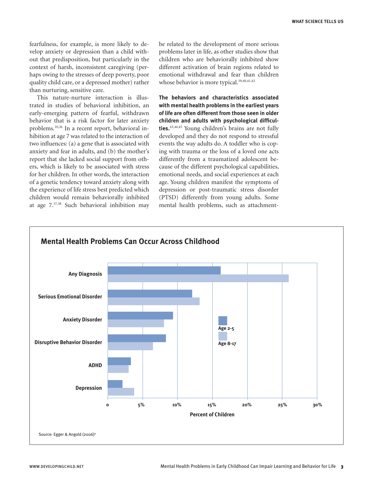fearfulness, for example, is more likely to develop anxiety or depression than a child without that predisposition, but particularly in the context of harsh, inconsistent caregiving (perhaps owing to the stresses of deep poverty, poor quality child care, or a depressed mother) rather than nurturing, sensitive care.

This nature-nurture interaction is illustrated in studies of behavioral inhibition, an early-emerging pattern of fearful, withdrawn behavior that is a risk factor for later anxiety problems.10,36 In a recent report, behavioral inhibition at age 7 was related to the interaction of two influences: (a) a gene that is associated with anxiety and fear in adults, and (b) the mother's report that she lacked social support from others, which is likely to be associated with stress for her children. In other words, the interaction of a genetic tendency toward anxiety along with the experience of life stress best predicted which children would remain behaviorally inhibited at age 7.37,38 Such behavioral inhibition may

be related to the development of more serious problems later in life, as other studies show that children who are behaviorally inhibited show different activation of brain regions related to emotional withdrawal and fear than children whose behavior is more typical.<sup>39,40,41,42</sup>

**The behaviors and characteristics associated with mental health problems in the earliest years of life are often different from those seen in older children and adults with psychological difficulties.**43,44,45 Young children's brains are not fully developed and they do not respond to stressful events the way adults do. A toddler who is coping with trauma or the loss of a loved one acts differently from a traumatized adolescent because of the different psychological capabilities, emotional needs, and social experiences at each age. Young children manifest the symptoms of depression or post-traumatic stress disorder (PTSD) differently from young adults. Some mental health problems, such as attachment-

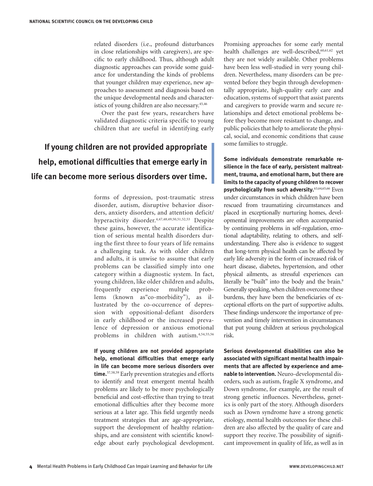related disorders (i.e., profound disturbances in close relationships with caregivers), are specific to early childhood. Thus, although adult diagnostic approaches can provide some guidance for understanding the kinds of problems that younger children may experience, new approaches to assessment and diagnosis based on the unique developmental needs and characteristics of young children are also necessary.<sup>45,46</sup>

Over the past few years, researchers have validated diagnostic criteria specific to young children that are useful in identifying early

# **If young children are not provided appropriate help, emotional difficulties that emerge early in life can become more serious disorders over time.**

forms of depression, post-traumatic stress disorder, autism, disruptive behavior disorders, anxiety disorders, and attention deficit/ hyperactivity disorder.<sup>4,47,48,49,50,51,52,53</sup> Despite these gains, however, the accurate identification of serious mental health disorders during the first three to four years of life remains a challenging task. As with older children and adults, it is unwise to assume that early problems can be classified simply into one category within a diagnostic system. In fact, young children, like older children and adults, frequently experience multple problems (known as"co-morbidity"), as illustrated by the co-occurrence of depression with oppositional-defiant disorders in early childhood or the increased prevalence of depression or anxious emotional problems in children with autism.4,54,55,56

**If young children are not provided appropriate help, emotional difficulties that emerge early in life can become more serious disorders over time.**57,58,59 Early prevention strategies and efforts to identify and treat emergent mental health problems are likely to be more psychologically beneficial and cost-effective than trying to treat emotional difficulties after they become more serious at a later age. This field urgently needs treatment strategies that are age-appropriate, support the development of healthy relationships, and are consistent with scientific knowledge about early psychological development. Promising approaches for some early mental health challenges are well-described,<sup>60,61,62</sup> yet they are not widely available. Other problems have been less well-studied in very young children. Nevertheless, many disorders can be prevented before they begin through developmentally appropriate, high-quality early care and education, systems of support that assist parents and caregivers to provide warm and secure relationships and detect emotional problems before they become more resistant to change, and public policies that help to ameliorate the physical, social, and economic conditions that cause some families to struggle.

**Some individuals demonstrate remarkable resilience in the face of early, persistent maltreatment, trauma, and emotional harm, but there are limits to the capacity of young children to recover psychologically from such adversity.**63,64,65,66 Even under circumstances in which children have been rescued from traumatizing circumstances and placed in exceptionally nurturing homes, developmental improvements are often accompanied by continuing problems in self-regulation, emotional adaptability, relating to others, and selfunderstanding. There also is evidence to suggest that long-term physical health can be affected by early life adversity in the form of increased risk of heart disease, diabetes, hypertension, and other physical ailments, as stressful experiences can literally be "built" into the body and the brain.<sup>9</sup> Generally speaking, when children overcome these burdens, they have been the beneficiaries of exceptional efforts on the part of supportive adults. These findings underscore the importance of prevention and timely intervention in circumstances that put young children at serious psychological risk.

**Serious developmental disabilities can also be associated with significant mental health impairments that are affected by experience and amenable to intervention.** Neuro-developmental disorders, such as autism, fragile X syndrome, and Down syndrome, for example, are the result of strong genetic influences. Nevertheless, genetics is only part of the story. Although disorders such as Down syndrome have a strong genetic etiology, mental health outcomes for these children are also affected by the quality of care and support they receive. The possibility of significant improvement in quality of life, as well as in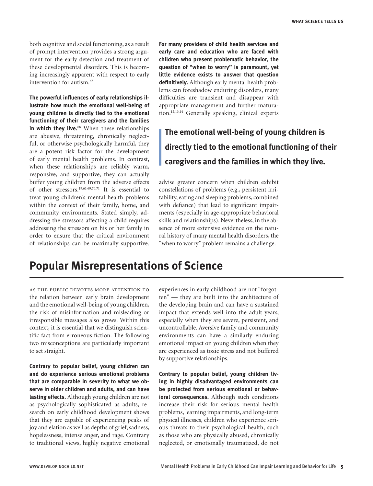both cognitive and social functioning, as a result of prompt intervention provides a strong argument for the early detection and treatment of these developmental disorders. This is becoming increasingly apparent with respect to early intervention for autism.<sup>67</sup>

**The powerful influences of early relationships illustrate how much the emotional well-being of young children is directly tied to the emotional functioning of their caregivers and the families in which they live.**68 When these relationships are abusive, threatening, chronically neglectful, or otherwise psychologically harmful, they are a potent risk factor for the development of early mental health problems. In contrast, when these relationships are reliably warm, responsive, and supportive, they can actually buffer young children from the adverse effects of other stressors.19,63.69,70,71 It is essential to treat young children's mental health problems within the context of their family, home, and community environments. Stated simply, addressing the stressors affecting a child requires addressing the stressors on his or her family in order to ensure that the critical environment of relationships can be maximally supportive.

**For many providers of child health services and early care and education who are faced with children who present problematic behavior, the question of "when to worry" is paramount, yet little evidence exists to answer that question definitively.** Although early mental health problems can foreshadow enduring disorders, many difficulties are transient and disappear with appropriate management and further maturation.12,13,14 Generally speaking, clinical experts

# **The emotional well-being of young children is directly tied to the emotional functioning of their caregivers and the families in which they live.**

advise greater concern when children exhibit constellations of problems (e.g., persistent irritability, eating and sleeping problems, combined with defiance) that lead to significant impairments (especially in age-appropriate behavioral skills and relationships). Nevertheless, in the absence of more extensive evidence on the natural history of many mental health disorders, the "when to worry" problem remains a challenge.

# **Popular Misrepresentations of Science**

as the public devotes more attention to the relation between early brain development and the emotional well-being of young children, the risk of misinformation and misleading or irresponsible messages also grows. Within this context, it is essential that we distinguish scientific fact from erroneous fiction. The following two misconceptions are particularly important to set straight.

**Contrary to popular belief, young children can and do experience serious emotional problems that are comparable in severity to what we observe in older children and adults, and can have lasting effects.** Although young children are not as psychologically sophisticated as adults, research on early childhood development shows that they are capable of experiencing peaks of joy and elation as well as depths of grief, sadness, hopelessness, intense anger, and rage. Contrary to traditional views, highly negative emotional

experiences in early childhood are not "forgotten" — they are built into the architecture of the developing brain and can have a sustained impact that extends well into the adult years, especially when they are severe, persistent, and uncontrollable. Aversive family and community environments can have a similarly enduring emotional impact on young children when they are experienced as toxic stress and not buffered by supportive relationships.

**Contrary to popular belief, young children living in highly disadvantaged environments can be protected from serious emotional or behavioral consequences.** Although such conditions increase their risk for serious mental health problems, learning impairments, and long-term physical illnesses, children who experience serious threats to their psychological health, such as those who are physically abused, chronically neglected, or emotionally traumatized, do not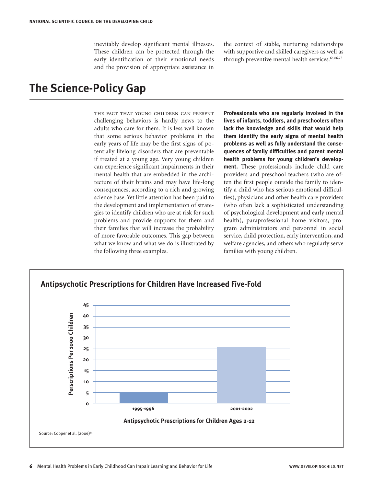inevitably develop significant mental illnesses. These children can be protected through the early identification of their emotional needs and the provision of appropriate assistance in

the context of stable, nurturing relationships with supportive and skilled caregivers as well as through preventive mental health services.<sup>64,66,72</sup>

# **The Science-Policy Gap**

the fact that young children can present challenging behaviors is hardly news to the adults who care for them. It is less well known that some serious behavior problems in the early years of life may be the first signs of potentially lifelong disorders that are preventable if treated at a young age. Very young children can experience significant impairments in their mental health that are embedded in the architecture of their brains and may have life-long consequences, according to a rich and growing science base. Yet little attention has been paid to the development and implementation of strategies to identify children who are at risk for such problems and provide supports for them and their families that will increase the probability of more favorable outcomes. This gap between what we know and what we do is illustrated by the following three examples.

**Professionals who are regularly involved in the lives of infants, toddlers, and preschoolers often lack the knowledge and skills that would help them identify the early signs of mental health problems as well as fully understand the consequences of family difficulties and parent mental health problems for young children's development.** These professionals include child care providers and preschool teachers (who are often the first people outside the family to identify a child who has serious emotional difficulties), physicians and other health care providers (who often lack a sophisticated understanding of psychological development and early mental health), paraprofessional home visitors, program administrators and personnel in social service, child protection, early intervention, and welfare agencies, and others who regularly serve families with young children.

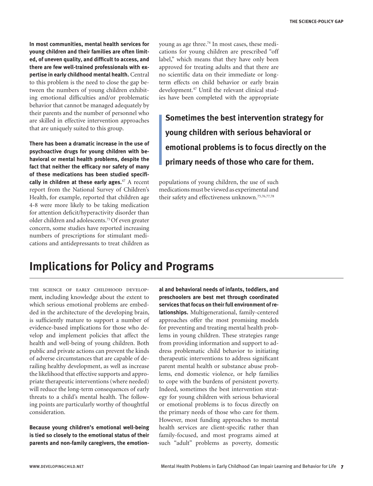**In most communities, mental health services for young children and their families are often limited, of uneven quality, and difficult to access, and there are few well-trained professionals with expertise in early childhood mental health.** Central to this problem is the need to close the gap between the numbers of young children exhibiting emotional difficulties and/or problematic behavior that cannot be managed adequately by their parents and the number of personnel who are skilled in effective intervention approaches that are uniquely suited to this group.

**There has been a dramatic increase in the use of psychoactive drugs for young children with behavioral or mental health problems, despite the fact that neither the efficacy nor safety of many of these medications has been studied specifically in children at these early ages.**47 A recent report from the National Survey of Children's Health, for example, reported that children age 4-8 were more likely to be taking medication for attention deficit/hyperactivity disorder than older children and adolescents.73 Of even greater concern, some studies have reported increasing numbers of prescriptions for stimulant medications and antidepressants to treat children as

young as age three.<sup>74</sup> In most cases, these medications for young children are prescribed "off label," which means that they have only been approved for treating adults and that there are no scientific data on their immediate or longterm effects on child behavior or early brain development.47 Until the relevant clinical studies have been completed with the appropriate

**Sometimes the best intervention strategy for young children with serious behavioral or emotional problems is to focus directly on the primary needs of those who care for them.** 

populations of young children, the use of such medications must be viewed as experimental and their safety and effectiveness unknown.<sup>75,76,77,78</sup>

# **Implications for Policy and Programs**

the science of early childhood development, including knowledge about the extent to which serious emotional problems are embedded in the architecture of the developing brain, is sufficiently mature to support a number of evidence-based implications for those who develop and implement policies that affect the health and well-being of young children. Both public and private actions can prevent the kinds of adverse circumstances that are capable of derailing healthy development, as well as increase the likelihood that effective supports and appropriate therapeutic interventions (where needed) will reduce the long-term consequences of early threats to a child's mental health. The following points are particularly worthy of thoughtful consideration.

**Because young children's emotional well-being is tied so closely to the emotional status of their parents and non-family caregivers, the emotion-** **al and behavioral needs of infants, toddlers, and preschoolers are best met through coordinated services that focus on their full environment of relationships.** Multigenerational, family-centered approaches offer the most promising models for preventing and treating mental health problems in young children. These strategies range from providing information and support to address problematic child behavior to initiating therapeutic interventions to address significant parent mental health or substance abuse problems, end domestic violence, or help families to cope with the burdens of persistent poverty. Indeed, sometimes the best intervention strategy for young children with serious behavioral or emotional problems is to focus directly on the primary needs of those who care for them. However, most funding approaches to mental health services are client-specific rather than family-focused, and most programs aimed at such "adult" problems as poverty, domestic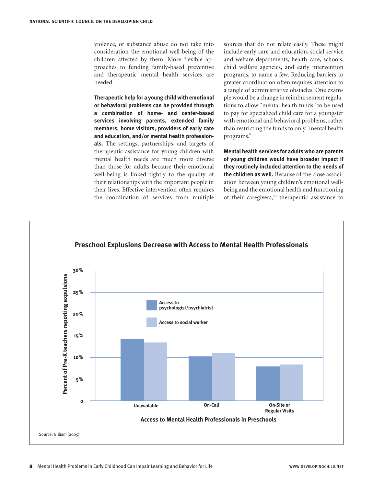violence, or substance abuse do not take into consideration the emotional well-being of the children affected by them. More flexible approaches to funding family-based preventive and therapeutic mental health services are needed.

**Therapeutic help for a young child with emotional or behavioral problems can be provided through a combination of home- and center-based services involving parents, extended family members, home visitors, providers of early care and education, and/or mental health professionals.** The settings, partnerships, and targets of therapeutic assistance for young children with mental health needs are much more diverse than those for adults because their emotional well-being is linked tightly to the quality of their relationships with the important people in their lives. Effective intervention often requires the coordination of services from multiple sources that do not relate easily. These might include early care and education, social service and welfare departments, health care, schools, child welfare agencies, and early intervention programs, to name a few. Reducing barriers to greater coordination often requires attention to a tangle of administrative obstacles. One example would be a change in reimbursement regulations to allow "mental health funds" to be used to pay for specialized child care for a youngster with emotional and behavioral problems, rather than restricting the funds to only "mental health programs."

**Mental health services for adults who are parents of young children would have broader impact if they routinely included attention to the needs of the children as well.** Because of the close association between young children's emotional wellbeing and the emotional health and functioning of their caregivers,79 therapeutic assistance to

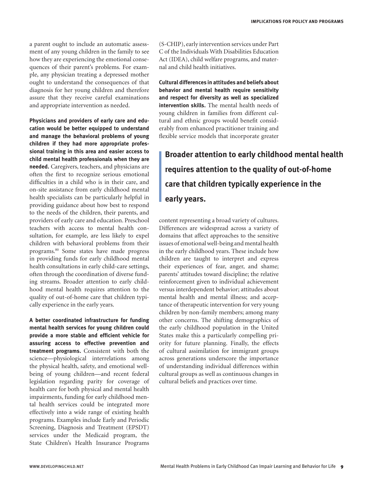a parent ought to include an automatic assessment of any young children in the family to see how they are experiencing the emotional consequences of their parent's problems. For example, any physician treating a depressed mother ought to understand the consequences of that diagnosis for her young children and therefore assure that they receive careful examinations and appropriate intervention as needed.

**Physicians and providers of early care and education would be better equipped to understand and manage the behavioral problems of young children if they had more appropriate professional training in this area and easier access to child mental health professionals when they are needed.** Caregivers, teachers, and physicians are often the first to recognize serious emotional difficulties in a child who is in their care, and on-site assistance from early childhood mental health specialists can be particularly helpful in providing guidance about how best to respond to the needs of the children, their parents, and providers of early care and education. Preschool teachers with access to mental health consultation, for example, are less likely to expel children with behavioral problems from their programs.80 Some states have made progress in providing funds for early childhood mental health consultations in early child-care settings, often through the coordination of diverse funding streams. Broader attention to early childhood mental health requires attention to the quality of out-of-home care that children typically experience in the early years.

**A better coordinated infrastructure for funding mental health services for young children could provide a more stable and efficient vehicle for assuring access to effective prevention and treatment programs.** Consistent with both the science—physiological interrelations among the physical health, safety, and emotional wellbeing of young children—and recent federal legislation regarding parity for coverage of health care for both physical and mental health impairments, funding for early childhood mental health services could be integrated more effectively into a wide range of existing health programs. Examples include Early and Periodic Screening, Diagnosis and Treatment (EPSDT) services under the Medicaid program, the State Children's Health Insurance Programs

(S-CHIP), early intervention services under Part C of the Individuals With Disabilities Education Act (IDEA), child welfare programs, and maternal and child health initiatives.

**Cultural differences in attitudes and beliefs about behavior and mental health require sensitivity and respect for diversity as well as specialized intervention skills.** The mental health needs of young children in families from different cultural and ethnic groups would benefit considerably from enhanced practitioner training and flexible service models that incorporate greater

**Broader attention to early childhood mental health requires attention to the quality of out-of-home care that children typically experience in the early years.**

content representing a broad variety of cultures. Differences are widespread across a variety of domains that affect approaches to the sensitive issues of emotional well-being and mental health in the early childhood years. These include how children are taught to interpret and express their experiences of fear, anger, and shame; parents' attitudes toward discipline; the relative reinforcement given to individual achievement versus interdependent behavior; attitudes about mental health and mental illness; and acceptance of therapeutic intervention for very young children by non-family members; among many other concerns. The shifting demographics of the early childhood population in the United States make this a particularly compelling priority for future planning. Finally, the effects of cultural assimilation for immigrant groups across generations underscore the importance of understanding individual differences within cultural groups as well as continuous changes in cultural beliefs and practices over time.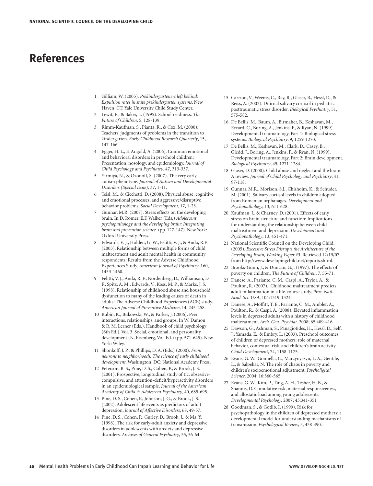# **References**

- 1 Gilliam, W. (2005). *Prekindergarteners left behind: Expulsion rates in state prekindergarten systems*. New Haven, CT: Yale University Child Study Center.
- 2 Lewit, E., & Baker, L. (1995). School readiness. *The Future of Children*, 5, 128-139.
- 3 Rimm-Kaufman, S., Pianta, R., & Cox, M. (2000). Teachers' judgments of problems in the transition to kindergarten. *Early Childhood Research Quarterly*, 15, 147-166.
- 4 Egger, H. L., & Angold, A. (2006). Common emotional and behavioral disorders in preschool children: Presentation, nosology, and epidemiology. *Journal of Child Psychology and Psychiatry*, 47, 313-337.
- 5 Yirmiya, N., & Ozonoff, S. (2007). The very early autism phenotype. *Journal of Autism and Developmental Disorders (Special Issue),* 37, 1-11.
- 6 Teisl, M., & Cicchetti, D. (2008). Physical abuse, cognitive and emotional processes, and aggressive/disruptive behavior problems. *Social Development*, 17, 1-23.
- 7 Gunnar, M.R. (2007). Stress effects on the developing brain. In D. Romer, E.F. Walker (Eds.) *Adolescent psychopathology and the developing brain: Integrating brain and prevention science.* (pp. 127-147). New York: Oxford University Press.
- 8 Edwards, V. J., Holden, G. W., Felitti, V. J., & Anda, R.F. (2003). Relationship between multiple forms of child maltreatment and adult mental health in community respondents: Results from the Adverse Childhood Experiences Study. *American Journal of Psychiatry*, 160, 1453-1460.
- 9 Felitti, V. J., Anda, R. F., Nordenberg, D., Williamson, D. F., Spitz, A. M., Edwards, V., Koss, M. P., & Marks, J. S. (1998). Relationship of childhood abuse and household dysfunction to many of the leading causes of death in adults: The Adverse Childhood Experiences (ACE) study. *American Journal of Preventive Medicine*, 14, 245-258.
- 10 Rubin, K., Bukowski, W., & Parker, J. (2006). Peer interactions, relationships, and groups. In W. Damon & R. M. Lerner (Eds.), Handbook of child psychology (6th Ed.), Vol. 3. Social, emotional, and personality development (N. Eisenberg, Vol. Ed.) (pp. 571-645). New York: Wiley.
- 11 Shonkoff, J. P., & Phillips, D. A. (Eds.) (2000). *From neurons to neighborhoods: The science of early childhood development*. Washington, DC: National Academy Press.
- 12 Peterson, B. S., Pine, D. S., Cohen, P., & Brook, J. S. (2001). Prospective, longitudinal study of tic, obsessivecompulsive, and attention-deficit/hyperactivity disorders in an epidemiological sample. *Journal of the American Academy of Child & Adolescent Psychiatry*, 40, 685-695.
- 13 Pine, D. S., Cohen, P., Johnson, J. G., & Brook, J. S. (2002). Adolescent life events as predictors of adult depression. *Journal of Affective Disorders*, 68, 49-57.
- 14 Pine, D. S., Cohen, P., Gurley, D., Brook, J., & Ma, Y. (1998). The risk for early-adult anxiety and depressive disorders in adolescents with anxiety and depressive disorders. *Archives of General Psychiatry*, 55, 56-64.
- 15 Carrion, V., Weems, C., Ray, R., Glaser, B., Hessl, D., & Reiss, A. (2002). Duirnal salivary cortisol in pediatric posttraumatic stress disorder. *Biological Psychiatry*, 51, 575-582.
- 16 De Bellis, M., Baum, A., Birmaher, B., Keshavan, M., Eccard, C., Boring, A., Jenkins, F., & Ryan, N. (1999). Developmental traumatology, Part 1: Biological stress systems. *Biological Psychiatry*, 9, 1259-1270.
- 17 De Bellis, M., Keshavan, M., Clark, D., Casey, B., Giedd, J., Boring, A., Jenkins, F., & Ryan, N. (1999). Developmental traumatology, Part 2: Brain development. *Biological Psychiatry*, 45, 1271-1284.
- 18 Glaser, D. (2000). Child abuse and neglect and the brain: A review. *Journal of Child Psychology and Psychiatry*, 41, 97-118.
- 19 Gunnar, M.R., Morison, S.J., Chisholm, K., & Schuder, M. (2001). Salivary cortisol levels in children adopted from Romanian orphanages. *Development and Psychopathology*, 13, 611-628.
- 20 Kaufman, J., & Charney, D. (2001). Effects of early stress on brain structure and function: Implications for understanding the relationship between child maltreatment and depression. *Development and Psychopathology*, 13, 451-471.
- 21 National Scientific Council on the Developing Child. (2005). *Excessive Stress Disrupts the Architecture of the Developing Brain, Working Paper #3*. Retrieved 12/19/07 from http://www.developingchild.net/reports.shtml.
- 22 Brooks-Gunn, J., & Duncan, G.J. (1997). The effects of poverty on children. *The Future of Children*, 7, 55-71.
- 23 Danese, A., Pariante, C. M., Caspi, A., Taylor, A., & Poulton, R. (2007). Childhood maltreatment predicts adult inflammation in a life-course study. *Proc. Natl. Acad. Sci. USA*, 104:1319-1324.
- 24 Danese, A., Moffitt, T. E., Pariante, C. M., Ambler, A., Poulton, R., & Caspi, A. (2008). Elevated inflammation levels in depressed adults with a history of childhood maltreatment. *Arch. Gen. Psychiat*. 2008; 65:409-416.
- 25 Dawson, G., Ashman, S., Panagiotides, H., Hessl, D., Self, J., Yamada, E., & Embry, L. (2003). Preschool outcomes of children of depressed mothers: role of maternal behavior, contextual risk, and children's brain activity. *Child Development*, 74, 1158-1175.
- 26 Evans, G. W., Gonnella, C., Marcynyszyn, L. A., Gentile, L., & Salpekar, N. The role of chaos in poverty and children's socioemotional adjustment. *Psycholigical Science*. 2004; 16:560-565.
- 27 Evans, G. W., Kim, P., Ting, A. H., Tesher, H. B., & Shannis, D. Cumulative risk, maternal responsiveness, and allostatic load among young adolescents. *Developmental Psychology.* 2007; 43:341-351
- 28 Goodman, S., & Gotlib, I. (1999). Risk for psychopathology in the children of depressed mothers: a developmental model for understanding mechanisms of transmission. *Psychological Review*, 3, 458-490.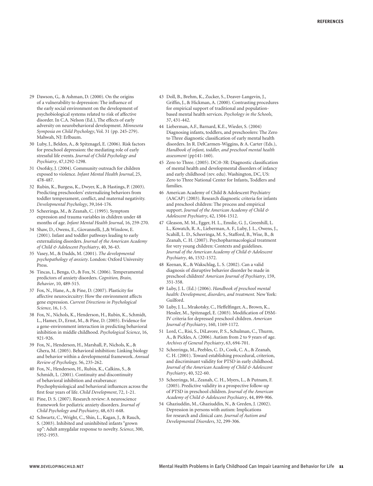- 29 Dawson, G,. & Ashman, D. (2000). On the origins of a vulnerability to depression: The influence of the early social environment on the development of psychobiological systems related to risk of affective disorder. In C.A. Nelson (Ed.), The effects of early adversity on neurobehavioral development. *Minnesota Symposia on Child Psychology*, Vol. 31 (pp. 245-279). Mahwah, NJ: Erlbaum.
- 30 Luby, J., Belden, A., & Spitznagel, E. (2006). Risk factors for preschool depression: the mediating role of early stressful life events. *Journal of Child Psychology and Psychiatry*, 47,1292-1298.
- 31 Osofsky, J. (2004). Community outreach for children exposed to violence. *Infant Mental Health Journal*, 25, 478-487.
- 32 Rubin, K., Burgess, K., Dwyer, K., & Hastings, P. (2003). Predicting preschoolers' externalizing behaviors from toddler temperament, conflict, and maternal negativity. *Developmental Psychology*, 39,164-176.
- 33 Scheeringa, M., & Zeanah, C. (1995). Symptom expression and trauma variables in children under 48 months of age. *Infant Mental Health Journal*, 16, 259-270.
- 34 Shaw, D., Owens, E., Giovannelli, J.,& Winslow, E. (2001). Infant and toddler pathways leading to early externalizing disorders. *Journal of the American Academy of Child & Adolescent Psychiatry*, 40, 36-43.
- 35 Vasey, M., & Dadds, M. (2001). *The developmental psychopathology of anxiety*. London: Oxford University Press.
- 36 Tincas, I., Benga, O., & Fox, N. (2006). Temperamental predictors of anxiety disorders. *Cognition, Brain, Behavior*, 10, 489-515.
- 37 Fox, N., Hane, A., & Pine, D. (2007). Plasticity for affective neurocircuitry: How the environment affects gene expression. *Current Directions in Psychological Science*, 16, 1-5.
- 38 Fox, N., Nichols, K., Henderson, H., Rubin, K., Schmidt, L., Hamer, D., Ernst, M., & Pine, D. (2005). Evidence for a gene-environment interaction in predicting behavioral inhibition in middle childhood. *Psychological Science*, 16, 921-926.
- 39 Fox, N., Henderson, H., Marshall, P., Nichols, K., & Ghera, M. (2005). Behavioral inhibition: Linking biology and behavior within a developmental framework. *Annual Review of Psychology,* 56, 235-262.
- 40 Fox, N., Henderson, H., Rubin, K., Calkins, S., & Schmidt, L. (2001). Continuity and discontinuity of behavioral inhibition and exuberance: Psychophysiological and behavioral influences across the first four years of life. *Child Development*, 72, 1-21.
- 41 Pine, D. S. (2007). Research review: A neuroscience framework for pediatric anxiety disorders. *Journal of Child Psychology and Psychiatry*, 48, 631-648.
- 42 Schwartz, C., Wright, C., Shin, L., Kagan, J., & Rauch, S. (2003). Inhibited and uninhibited infants "grown up": Adult amygdalar response to novelty. *Science*, 300, 1952-1953.
- 43 Doll, B., Brehm, K., Zucker, S., Deaver-Langevin, J., Griffin, J., & Hickman, A. (2000). Contrasting procedures for empirical support of traditional and populationbased mental health services. *Psychology in the Schools*, 37, 431-442.
- 44 Lieberman, A.F., Barnard, K.E., Wieder, S. (2004) Diagnosing infants, toddlers, and preschoolers: The Zero to Three diagnostic classification of early mental health disorders. In R. DelCarmen-Wiggins, & A. Carter (Eds.), *Handbook of infant, toddler, and preschool mental health assessment* (pp141-160).
- 45 Zero to Three. (2005). DC:0-3R: Diagnostic classification of mental health and developmental disorders of infancy and early childhood (rev. edu). Washington, DC, US: Zero to Three National Center for Infants, Toddlers and families.
- 46 American Academy of Child & Adolescent Psychiatry (AACAP) (2003). Research diagnostic criteria for infants and preschool children: The process and empirical support. *Journal of the American Academy of Child & Adolescent Psychiatry*, 42, 1504-1512.
- 47 Gleason, M. M., Egger, H. L., Emslie, G. J., Greenhill, L. L., Kowatch, R. A., Lieberman, A. F., Luby, J. L., Owens, J., Scahill, L. D., Scheeringa, M. S., Stafford, B., Wise, B., & Zeanah, C. H. (2007). Psychopharmacological treatment for very young children: Contexts and guidelines. *Journal of the American Academy of Child & Adolescent Psychiatry*, 46, 1532-1572.
- 48 Keenan, K., & Wakschlag, L. S. (2002). Can a valid diagnosis of disruptive behavior disorder be made in preschool children? *American Journal of Psychiatry*, 159, 351-358.
- 49 Luby, J. L. (Ed.) (2006). *Handbook of preschool mental health: Development, disorders, and treatment.* New York: Guilford.
- 50 Luby, J. L., Mrakotsky, C., Heffelfinger, A., Brown, K., Hessler, M., Spitznagel, E. (2003). Modification of DSM-IV criteria for depressed preschool children. *American Journal of Psychiatry*, 160, 1169-1172.
- 51 Lord, C., Risi, S., DiLavore, P. S., Schulman, C., Thurm, A., & Pickles, A. (2006). Autism from 2 to 9 years of age. *Archives of General Psychiatry*, 63, 694-701.
- 52 Scheeringa, M., Peebles, C. D., Cook, C. A., & Zeanah, C. H. (2001). Toward establishing procedural, criterion, and discriminant validity for PTSD in early childhood. *Journal of the American Academy of Child & Adolescent Psychiatry*, 40, 522-60.
- 53 Scheeringa, M., Zeanah, C. H., Myers, L., & Putnam, F. (2005). Predictive validity in a prospective follow-up of PTSD in preschool children. *Journal of the American Academy of Child & Adolescent Psychiatry*, 44, 899-906.
- 54 Ghaziuddin, M., Ghaziuddin, N., & Greden, J. (2002). Depression in persons with autism: Implications for research and clinical care. *Journal of Autism and Developmental Disorders*, 32, 299-306.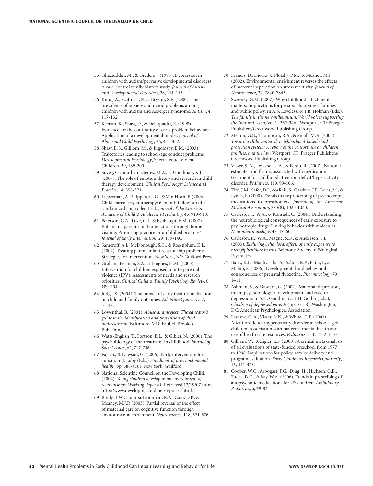- 55 Ghaziuddin, M., & Greden, J. (1998). Depression in children with autism/pervasive developmental disorders: A case-control family history study. *Journal of Autism and Developmental Disorders*, 28, 111-115.
- 56 Kim, J.A., Szatmari, P., & Bryson, S.E. (2000). The prevalence of anxiety and mood problems among children with autism and Asperger syndrome. *Autism*, 4, 117-132.
- 57 Keenan, K., Shaw, D., & Delliquadri, E. (1998). Evidence for the continuity of early problem behaviors: Application of a developmental model. *Journal of Abnormal Child Psychology*, 26, 441-452.
- 58 Shaw, D.S., Gilliom, M., & Ingoldsby, E.M. (2003). Trajectories leading to school-age conduct problems. *Developmental Psychology*, Special issue: Violent Children, 39, 189-200.
- 59 Suveg, C., Southam-Gerow, M.A., & Goodman, K.L. (2007). The role of emotion theory and research in child therapy development. *Clinical Psychology: Science and Practice*, 14, 358-371.
- 60 Lieberman, A. F., Ippen, C. G., & Van Horn, P. (2006). Child-parent psychotherapy: 6-month follow-up of a randomized controlled trial*. Journal of the American Academy of Child & Adolescent Psychiatry*, 45, 913-918,
- 61 Peterson, C.A., Luze, G.J., & Eshbaugh, E.M. (2007). Enhancing parent-child interactions through home visiting: Promising practice or unfulfilled promise? *Journal of Early Intervention*, 29, 119-140.
- 62 Sameroff, A.J., McDonough, S.C., & Rosenblum, K.L. (2004). Treating parent-infant relationship problems: Strategies for intervention. New York, NY: Guilford Press.
- 63 Graham-Berman, S.A., & Hughes, H.M. (2003). Intervention for children exposed to interparental violence (IPV): Assessments of needs and research priorities. *Clinical Child & Family Psychology Review*, 6, 189-204.
- 64 Judge, S. (2004). The impact of early institutionalization on child and family outcomes. *Adoption Quarterly*, 7, 31-48.
- 65 Lowenthal, B. (2001). *Abuse and neglect: The educator's guide to the identification and prevention of child maltreatment*. Baltimore, MD: Paul H. Brookes Publishing.
- 66 Watts-English, T., Fortson, B.L., & Gibler, N. (2006). The psychobiology of maltreatment in childhood. *Journal of Social Issues*, 62, 717-736.
- 67 Faja, S., & Dawson, G. (2006). Early intervention for autism. In J. Luby (Eds.) *Handbook of preschool mental health* (pp. 388-416). New York: Guilford.
- 68 National Scientific Council on the Developing Child. (2004). *Young children develop in an environment of relationships, Working Paper #1*. Retrieved 12/19/07 from http://www.developingchild.net/reports.shtml.
- 69 Bredy, T.W., Humpartzoomian, R.A., Cain, D.P., & Meaney, M.J.P. (2003). Partial reversal of the effect of maternal care on cognitive function through environmental enrichment. *Neuroscience*, 118, 571-576.
- 70 Francis, D., Diorio, J., Plotsky, P.M., & Meaney, M.J. (2002). Environmental enrichment reverses the effects of maternal separation on stress reactivity. *Journal of Neuroscience*, 22, 7840-7843.
- 71 Sweeney, G.M. (2007). Why childhood attachment matters: Implications for personal happiness, families and public policy. In A.S. Loveless, & T.B. Holman (Eds.), *The family in the new millennium: World voices supporting the "natural" clan*, Vol 1 (332-346). Westport, CT: Praeger Publishers/Greenwood Publishing Group..
- 72 Melton, G.B., Thompson, R.A., & Small, M.A. (2002). *Toward a child-centered, neighborhood-based child protection system: A report of the consortium on children, families, and the law*. Westport, CT: Praeger Publishers/ Greenwood Publishing Group.
- 73 Visser, S. N., Lesesne, C. A., & Perou, R. (2007). National estimates and factors associated with medication treatment for childhood attention-deficit/hyperactivity disorder. *Pediatrics*, 119, 99-106.
- 74 Zito, J.M., Safer, D.J., dosReis, S., Gardner, J.F., Boles, M., & Lynch, F. (2000). Trends in the prescribing of psychotropic medications to preschoolers. *Journal of the American Medical Association*, 283(8), 1025-1030.
- 75 Carlezon Jr., W.A., & Konradi, C. (2004). Understanding the neurobiological consequences of early exposure to psychotropic drugs: Linking behavior with molecules. *Neuropharmacology*, 47, 47–60.
- 76 Carlezon, Jr., W.A., Mague, S.D., & Andersen, S.L. (2003). *Enduring behavioral effects of early exposure to methylphenidate in rats*. Belmont: Society of Biological Psychiatry.
- 77 Bairy, K.L., Madhyastha, S., Ashok, K.P., Bairy, I., & Malini, S. (2006). Developmental and behavioral consequences of prenatal fluoxetine. *Pharmacology*, 79, 1–11.
- 78 Ashman, S., & Dawson, G. (2002). Maternal depression, infant psychobiological development, and risk for depression. In S.H. Goodman & I.H. Gotlib (Eds.), *Children of depressed parents* (pp. 37-58). Washington, DC: American Psychological Association.
- 79 Lesesne, C. A., Visser, S. N., & White, C. P. (2003). Attention-deficit/hyperactivity disorder in school-aged children: Association with maternal mental health and use of health care resources. *Pediatrics*, 111, 1232-1237.
- 80 Gilliam, W., & Zigler, E.F. (2000). A critical meta-analysis of all evaluations of state-funded preschool from 1977 to 1998: Implications for policy, service delivery and program evaluation. *Early Childhood Research Quarterly*, 15, 441-473.
- 81 Cooper, W.O., Arbogast, P.G., Ding, H., Hickson, G.B., Fuchs, D.C., & Ray, W.A. (2006). Trends in prescribing of antipsychotic medications for US children. *Ambulatory Pediatrics*, 6, 79-83.